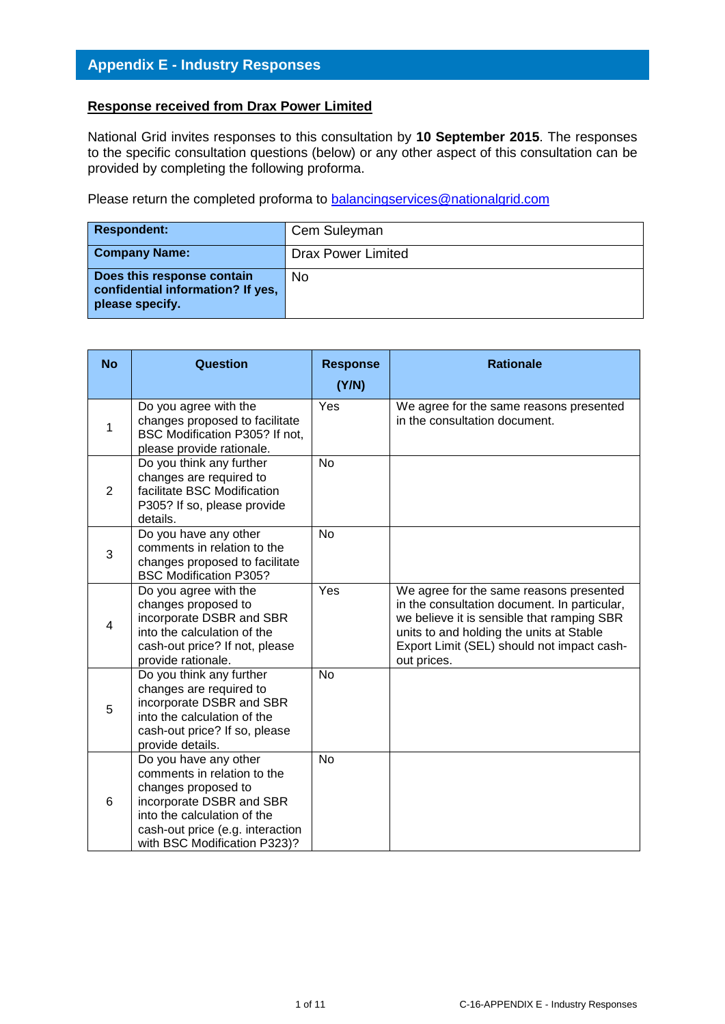#### **Response received from Drax Power Limited**

National Grid invites responses to this consultation by **10 September 2015**. The responses to the specific consultation questions (below) or any other aspect of this consultation can be provided by completing the following proforma.

Please return the completed proforma to [balancingservices@nationalgrid.com](mailto:balancingservices@nationalgrid.com)

| <b>Respondent:</b>                                                                 | Cem Suleyman              |
|------------------------------------------------------------------------------------|---------------------------|
| <b>Company Name:</b>                                                               | <b>Drax Power Limited</b> |
| Does this response contain<br>confidential information? If yes,<br>please specify. | No                        |

| <b>No</b>      | <b>Question</b>                                                                                                                                                                                            | <b>Response</b><br>(Y/N) | <b>Rationale</b>                                                                                                                                                                                                                               |
|----------------|------------------------------------------------------------------------------------------------------------------------------------------------------------------------------------------------------------|--------------------------|------------------------------------------------------------------------------------------------------------------------------------------------------------------------------------------------------------------------------------------------|
| $\mathbf{1}$   | Do you agree with the<br>changes proposed to facilitate<br>BSC Modification P305? If not,<br>please provide rationale.                                                                                     | Yes                      | We agree for the same reasons presented<br>in the consultation document.                                                                                                                                                                       |
| $\overline{2}$ | Do you think any further<br>changes are required to<br>facilitate BSC Modification<br>P305? If so, please provide<br>details.                                                                              | <b>No</b>                |                                                                                                                                                                                                                                                |
| 3              | Do you have any other<br>comments in relation to the<br>changes proposed to facilitate<br><b>BSC Modification P305?</b>                                                                                    | No                       |                                                                                                                                                                                                                                                |
| $\overline{4}$ | Do you agree with the<br>changes proposed to<br>incorporate DSBR and SBR<br>into the calculation of the<br>cash-out price? If not, please<br>provide rationale.                                            | Yes                      | We agree for the same reasons presented<br>in the consultation document. In particular,<br>we believe it is sensible that ramping SBR<br>units to and holding the units at Stable<br>Export Limit (SEL) should not impact cash-<br>out prices. |
| 5              | Do you think any further<br>changes are required to<br>incorporate DSBR and SBR<br>into the calculation of the<br>cash-out price? If so, please<br>provide details.                                        | No                       |                                                                                                                                                                                                                                                |
| 6              | Do you have any other<br>comments in relation to the<br>changes proposed to<br>incorporate DSBR and SBR<br>into the calculation of the<br>cash-out price (e.g. interaction<br>with BSC Modification P323)? | <b>No</b>                |                                                                                                                                                                                                                                                |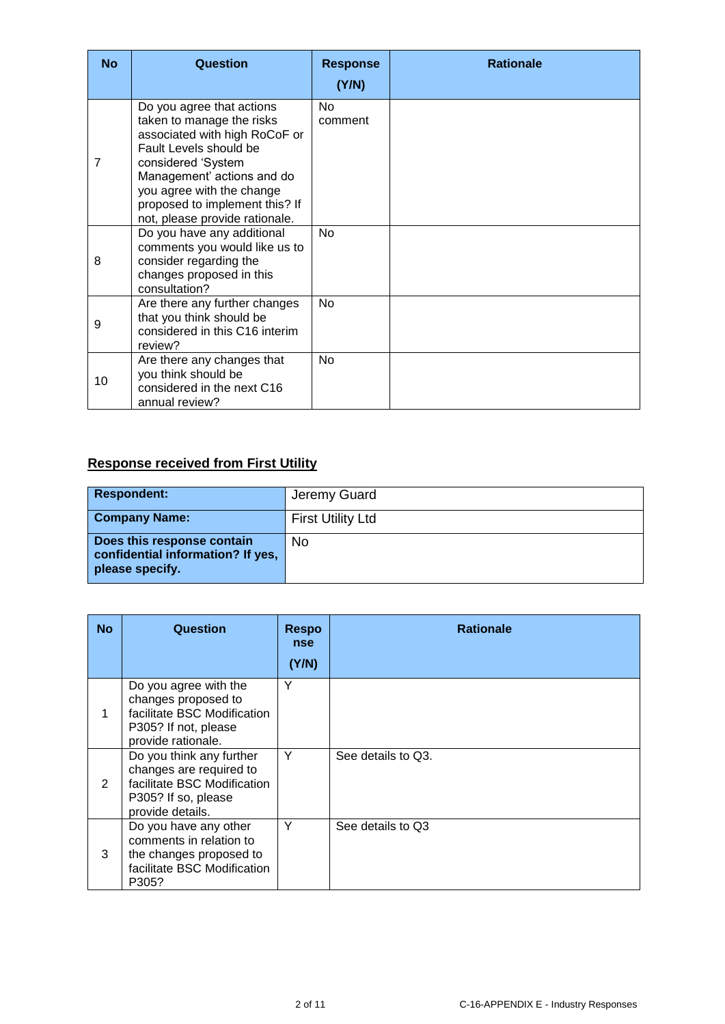| <b>No</b>      | <b>Question</b>                                                                                                                                                                                                                                                        | <b>Response</b><br>(Y/N) | <b>Rationale</b> |
|----------------|------------------------------------------------------------------------------------------------------------------------------------------------------------------------------------------------------------------------------------------------------------------------|--------------------------|------------------|
| $\overline{7}$ | Do you agree that actions<br>taken to manage the risks<br>associated with high RoCoF or<br>Fault Levels should be<br>considered 'System<br>Management' actions and do<br>you agree with the change<br>proposed to implement this? If<br>not, please provide rationale. | <b>No</b><br>comment     |                  |
| 8              | Do you have any additional<br>comments you would like us to<br>consider regarding the<br>changes proposed in this<br>consultation?                                                                                                                                     | <b>No</b>                |                  |
| 9              | Are there any further changes<br>that you think should be<br>considered in this C16 interim<br>review?                                                                                                                                                                 | <b>No</b>                |                  |
| 10             | Are there any changes that<br>you think should be<br>considered in the next C16<br>annual review?                                                                                                                                                                      | No                       |                  |

# **Response received from First Utility**

| <b>Respondent:</b>                                                                 | Jeremy Guard             |
|------------------------------------------------------------------------------------|--------------------------|
| <b>Company Name:</b>                                                               | <b>First Utility Ltd</b> |
| Does this response contain<br>confidential information? If yes,<br>please specify. | No                       |

| <b>No</b> | Question                                                                                                                      | Respo<br><b>nse</b><br>(Y/N) | <b>Rationale</b>   |
|-----------|-------------------------------------------------------------------------------------------------------------------------------|------------------------------|--------------------|
|           | Do you agree with the<br>changes proposed to<br>facilitate BSC Modification<br>P305? If not, please<br>provide rationale.     | Y                            |                    |
| 2         | Do you think any further<br>changes are required to<br>facilitate BSC Modification<br>P305? If so, please<br>provide details. | Y                            | See details to Q3. |
| 3         | Do you have any other<br>comments in relation to<br>the changes proposed to<br>facilitate BSC Modification<br>P305?           | Y                            | See details to Q3  |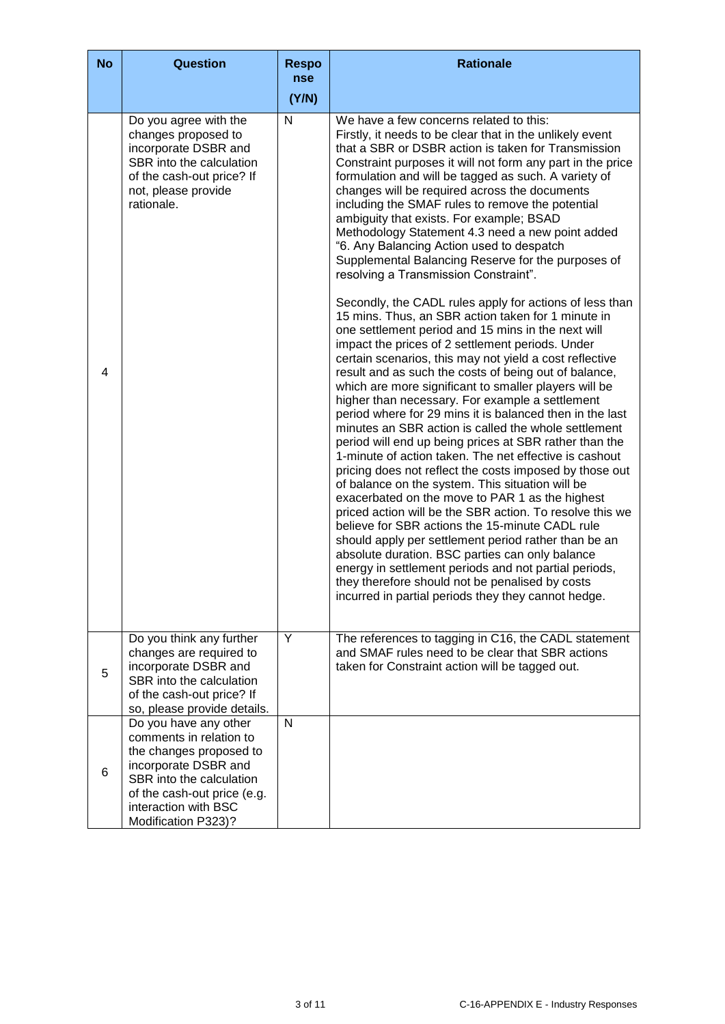| <b>No</b> | Question                                                                                                                                                                                                      | <b>Respo</b><br><b>nse</b> | <b>Rationale</b>                                                                                                                                                                                                                                                                                                                                                                                                                                                                                                                                                                                                                                                                                                                                                                                                                                                                                                                                                                                                                                                                                                                                                                                                                                                                                                                                                                                                                                                                                                                                                                                                                                                                                                                                                                                                                                                                                    |
|-----------|---------------------------------------------------------------------------------------------------------------------------------------------------------------------------------------------------------------|----------------------------|-----------------------------------------------------------------------------------------------------------------------------------------------------------------------------------------------------------------------------------------------------------------------------------------------------------------------------------------------------------------------------------------------------------------------------------------------------------------------------------------------------------------------------------------------------------------------------------------------------------------------------------------------------------------------------------------------------------------------------------------------------------------------------------------------------------------------------------------------------------------------------------------------------------------------------------------------------------------------------------------------------------------------------------------------------------------------------------------------------------------------------------------------------------------------------------------------------------------------------------------------------------------------------------------------------------------------------------------------------------------------------------------------------------------------------------------------------------------------------------------------------------------------------------------------------------------------------------------------------------------------------------------------------------------------------------------------------------------------------------------------------------------------------------------------------------------------------------------------------------------------------------------------------|
|           |                                                                                                                                                                                                               | (Y/N)                      |                                                                                                                                                                                                                                                                                                                                                                                                                                                                                                                                                                                                                                                                                                                                                                                                                                                                                                                                                                                                                                                                                                                                                                                                                                                                                                                                                                                                                                                                                                                                                                                                                                                                                                                                                                                                                                                                                                     |
| 4         | Do you agree with the<br>changes proposed to<br>incorporate DSBR and<br>SBR into the calculation<br>of the cash-out price? If<br>not, please provide<br>rationale.                                            | N                          | We have a few concerns related to this:<br>Firstly, it needs to be clear that in the unlikely event<br>that a SBR or DSBR action is taken for Transmission<br>Constraint purposes it will not form any part in the price<br>formulation and will be tagged as such. A variety of<br>changes will be required across the documents<br>including the SMAF rules to remove the potential<br>ambiguity that exists. For example; BSAD<br>Methodology Statement 4.3 need a new point added<br>"6. Any Balancing Action used to despatch<br>Supplemental Balancing Reserve for the purposes of<br>resolving a Transmission Constraint".<br>Secondly, the CADL rules apply for actions of less than<br>15 mins. Thus, an SBR action taken for 1 minute in<br>one settlement period and 15 mins in the next will<br>impact the prices of 2 settlement periods. Under<br>certain scenarios, this may not yield a cost reflective<br>result and as such the costs of being out of balance,<br>which are more significant to smaller players will be<br>higher than necessary. For example a settlement<br>period where for 29 mins it is balanced then in the last<br>minutes an SBR action is called the whole settlement<br>period will end up being prices at SBR rather than the<br>1-minute of action taken. The net effective is cashout<br>pricing does not reflect the costs imposed by those out<br>of balance on the system. This situation will be<br>exacerbated on the move to PAR 1 as the highest<br>priced action will be the SBR action. To resolve this we<br>believe for SBR actions the 15-minute CADL rule<br>should apply per settlement period rather than be an<br>absolute duration. BSC parties can only balance<br>energy in settlement periods and not partial periods,<br>they therefore should not be penalised by costs<br>incurred in partial periods they they cannot hedge. |
| 5         | Do you think any further<br>changes are required to<br>incorporate DSBR and<br>SBR into the calculation<br>of the cash-out price? If<br>so, please provide details.                                           | Y                          | The references to tagging in C16, the CADL statement<br>and SMAF rules need to be clear that SBR actions<br>taken for Constraint action will be tagged out.                                                                                                                                                                                                                                                                                                                                                                                                                                                                                                                                                                                                                                                                                                                                                                                                                                                                                                                                                                                                                                                                                                                                                                                                                                                                                                                                                                                                                                                                                                                                                                                                                                                                                                                                         |
| 6         | Do you have any other<br>comments in relation to<br>the changes proposed to<br>incorporate DSBR and<br>SBR into the calculation<br>of the cash-out price (e.g.<br>interaction with BSC<br>Modification P323)? | N                          |                                                                                                                                                                                                                                                                                                                                                                                                                                                                                                                                                                                                                                                                                                                                                                                                                                                                                                                                                                                                                                                                                                                                                                                                                                                                                                                                                                                                                                                                                                                                                                                                                                                                                                                                                                                                                                                                                                     |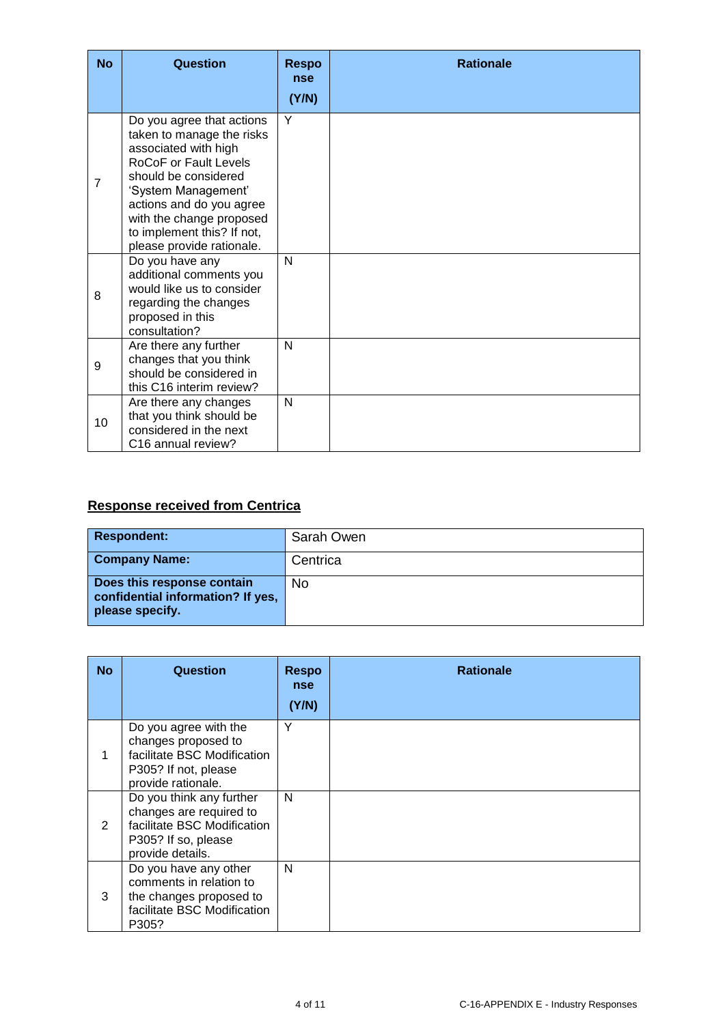| <b>No</b>      | Question                                                                                                                                                                                                                                                                  | <b>Respo</b><br>nse<br>(Y/N) | <b>Rationale</b> |
|----------------|---------------------------------------------------------------------------------------------------------------------------------------------------------------------------------------------------------------------------------------------------------------------------|------------------------------|------------------|
| $\overline{7}$ | Do you agree that actions<br>taken to manage the risks<br>associated with high<br>RoCoF or Fault Levels<br>should be considered<br>'System Management'<br>actions and do you agree<br>with the change proposed<br>to implement this? If not,<br>please provide rationale. | Y                            |                  |
| 8              | Do you have any<br>additional comments you<br>would like us to consider<br>regarding the changes<br>proposed in this<br>consultation?                                                                                                                                     | N                            |                  |
| 9              | Are there any further<br>changes that you think<br>should be considered in<br>this C16 interim review?                                                                                                                                                                    | N                            |                  |
| 10             | Are there any changes<br>that you think should be<br>considered in the next<br>C <sub>16</sub> annual review?                                                                                                                                                             | N                            |                  |

# **Response received from Centrica**

| <b>Respondent:</b>                                                                 | Sarah Owen |
|------------------------------------------------------------------------------------|------------|
| <b>Company Name:</b>                                                               | Centrica   |
| Does this response contain<br>confidential information? If yes,<br>please specify. | No         |

| <b>No</b> | Question                                                                                                                      | <b>Respo</b><br>nse<br>(Y/N) | <b>Rationale</b> |
|-----------|-------------------------------------------------------------------------------------------------------------------------------|------------------------------|------------------|
| 1         | Do you agree with the<br>changes proposed to<br>facilitate BSC Modification<br>P305? If not, please<br>provide rationale.     | Υ                            |                  |
| 2         | Do you think any further<br>changes are required to<br>facilitate BSC Modification<br>P305? If so, please<br>provide details. | N                            |                  |
| 3         | Do you have any other<br>comments in relation to<br>the changes proposed to<br>facilitate BSC Modification<br>P305?           | N                            |                  |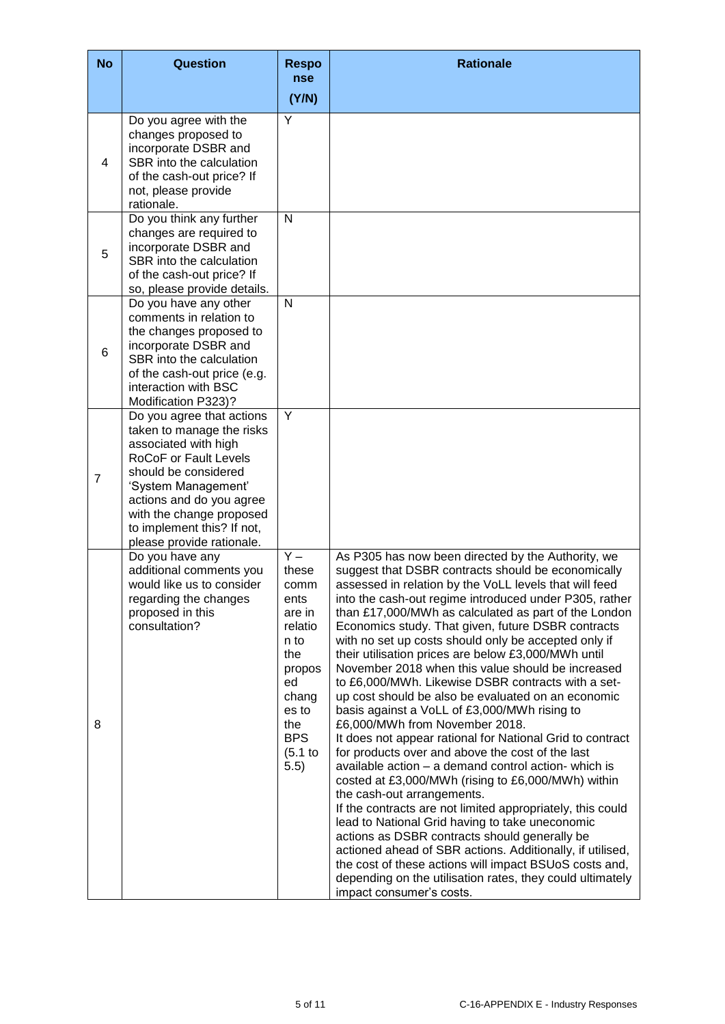| <b>No</b>      | Question                                                                                                                                                                                                                                                                  | <b>Respo</b><br>nse                                                                                                                                 | <b>Rationale</b>                                                                                                                                                                                                                                                                                                                                                                                                                                                                                                                                                                                                                                                                                                                                                                                                                                                                                                                                                                                                                                                                                                                                                                                                                                                                                                                                            |
|----------------|---------------------------------------------------------------------------------------------------------------------------------------------------------------------------------------------------------------------------------------------------------------------------|-----------------------------------------------------------------------------------------------------------------------------------------------------|-------------------------------------------------------------------------------------------------------------------------------------------------------------------------------------------------------------------------------------------------------------------------------------------------------------------------------------------------------------------------------------------------------------------------------------------------------------------------------------------------------------------------------------------------------------------------------------------------------------------------------------------------------------------------------------------------------------------------------------------------------------------------------------------------------------------------------------------------------------------------------------------------------------------------------------------------------------------------------------------------------------------------------------------------------------------------------------------------------------------------------------------------------------------------------------------------------------------------------------------------------------------------------------------------------------------------------------------------------------|
|                |                                                                                                                                                                                                                                                                           | (Y/N)                                                                                                                                               |                                                                                                                                                                                                                                                                                                                                                                                                                                                                                                                                                                                                                                                                                                                                                                                                                                                                                                                                                                                                                                                                                                                                                                                                                                                                                                                                                             |
| 4              | Do you agree with the<br>changes proposed to<br>incorporate DSBR and<br>SBR into the calculation<br>of the cash-out price? If<br>not, please provide<br>rationale.                                                                                                        | Ÿ                                                                                                                                                   |                                                                                                                                                                                                                                                                                                                                                                                                                                                                                                                                                                                                                                                                                                                                                                                                                                                                                                                                                                                                                                                                                                                                                                                                                                                                                                                                                             |
| 5              | Do you think any further<br>changes are required to<br>incorporate DSBR and<br>SBR into the calculation<br>of the cash-out price? If<br>so, please provide details.                                                                                                       | N                                                                                                                                                   |                                                                                                                                                                                                                                                                                                                                                                                                                                                                                                                                                                                                                                                                                                                                                                                                                                                                                                                                                                                                                                                                                                                                                                                                                                                                                                                                                             |
| 6              | Do you have any other<br>comments in relation to<br>the changes proposed to<br>incorporate DSBR and<br>SBR into the calculation<br>of the cash-out price (e.g.<br>interaction with BSC<br>Modification P323)?                                                             | N                                                                                                                                                   |                                                                                                                                                                                                                                                                                                                                                                                                                                                                                                                                                                                                                                                                                                                                                                                                                                                                                                                                                                                                                                                                                                                                                                                                                                                                                                                                                             |
| $\overline{7}$ | Do you agree that actions<br>taken to manage the risks<br>associated with high<br>RoCoF or Fault Levels<br>should be considered<br>'System Management'<br>actions and do you agree<br>with the change proposed<br>to implement this? If not,<br>please provide rationale. | Y                                                                                                                                                   |                                                                                                                                                                                                                                                                                                                                                                                                                                                                                                                                                                                                                                                                                                                                                                                                                                                                                                                                                                                                                                                                                                                                                                                                                                                                                                                                                             |
| 8              | Do you have any<br>additional comments you<br>would like us to consider<br>regarding the changes<br>proposed in this<br>consultation?                                                                                                                                     | $\overline{Y}$<br>these<br>comm<br>ents<br>are in<br>relatio<br>n to<br>the<br>propos<br>ed<br>chang<br>es to<br>the<br><b>BPS</b><br>(5.1)<br>5.5) | As P305 has now been directed by the Authority, we<br>suggest that DSBR contracts should be economically<br>assessed in relation by the VoLL levels that will feed<br>into the cash-out regime introduced under P305, rather<br>than £17,000/MWh as calculated as part of the London<br>Economics study. That given, future DSBR contracts<br>with no set up costs should only be accepted only if<br>their utilisation prices are below £3,000/MWh until<br>November 2018 when this value should be increased<br>to £6,000/MWh. Likewise DSBR contracts with a set-<br>up cost should be also be evaluated on an economic<br>basis against a VoLL of £3,000/MWh rising to<br>£6,000/MWh from November 2018.<br>It does not appear rational for National Grid to contract<br>for products over and above the cost of the last<br>available action - a demand control action- which is<br>costed at £3,000/MWh (rising to £6,000/MWh) within<br>the cash-out arrangements.<br>If the contracts are not limited appropriately, this could<br>lead to National Grid having to take uneconomic<br>actions as DSBR contracts should generally be<br>actioned ahead of SBR actions. Additionally, if utilised,<br>the cost of these actions will impact BSUoS costs and,<br>depending on the utilisation rates, they could ultimately<br>impact consumer's costs. |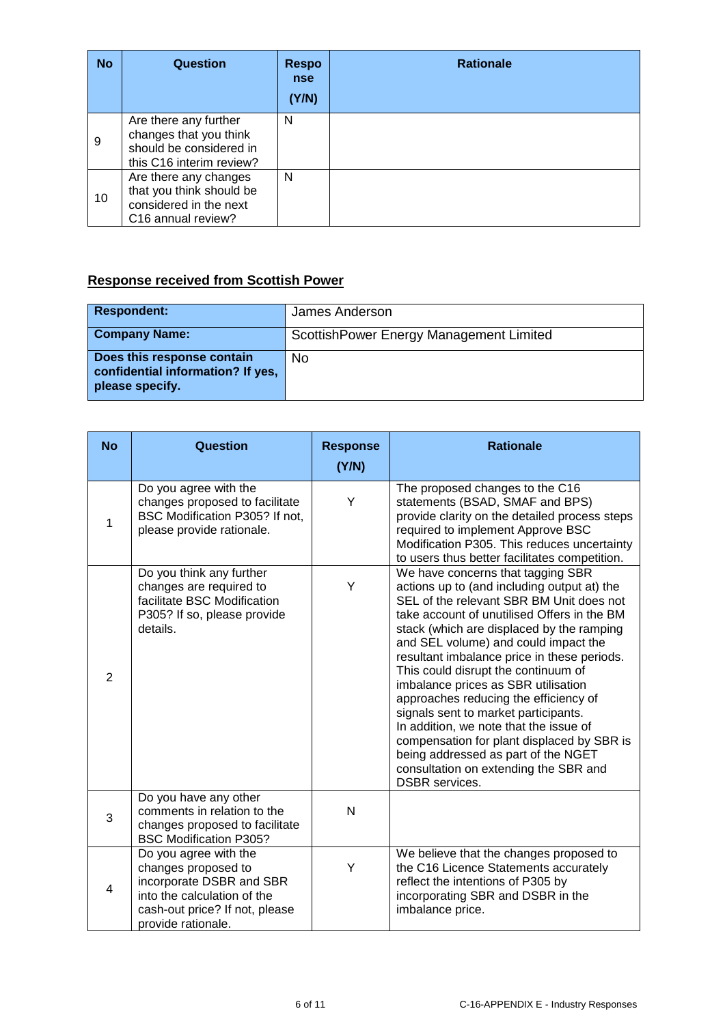| <b>No</b> | <b>Question</b>                                                                                               | <b>Respo</b><br><b>nse</b><br>(Y/N) | <b>Rationale</b> |
|-----------|---------------------------------------------------------------------------------------------------------------|-------------------------------------|------------------|
| 9         | Are there any further<br>changes that you think<br>should be considered in<br>this C16 interim review?        | N                                   |                  |
| 10        | Are there any changes<br>that you think should be<br>considered in the next<br>C <sub>16</sub> annual review? | N                                   |                  |

### **Response received from Scottish Power**

| <b>Respondent:</b>                                                                 | James Anderson                           |
|------------------------------------------------------------------------------------|------------------------------------------|
| <b>Company Name:</b>                                                               | Scottish Power Energy Management Limited |
| Does this response contain<br>confidential information? If yes,<br>please specify. | No                                       |

| <b>No</b>      | Question                                                                                                                                                        | <b>Response</b> | <b>Rationale</b>                                                                                                                                                                                                                                                                                                                                                                                                                                                                                                                                                                                                                                                                |
|----------------|-----------------------------------------------------------------------------------------------------------------------------------------------------------------|-----------------|---------------------------------------------------------------------------------------------------------------------------------------------------------------------------------------------------------------------------------------------------------------------------------------------------------------------------------------------------------------------------------------------------------------------------------------------------------------------------------------------------------------------------------------------------------------------------------------------------------------------------------------------------------------------------------|
|                |                                                                                                                                                                 | (Y/N)           |                                                                                                                                                                                                                                                                                                                                                                                                                                                                                                                                                                                                                                                                                 |
| 1              | Do you agree with the<br>changes proposed to facilitate<br>BSC Modification P305? If not,<br>please provide rationale.                                          | Y               | The proposed changes to the C16<br>statements (BSAD, SMAF and BPS)<br>provide clarity on the detailed process steps<br>required to implement Approve BSC<br>Modification P305. This reduces uncertainty<br>to users thus better facilitates competition.                                                                                                                                                                                                                                                                                                                                                                                                                        |
| $\overline{2}$ | Do you think any further<br>changes are required to<br>facilitate BSC Modification<br>P305? If so, please provide<br>details.                                   | Y               | We have concerns that tagging SBR<br>actions up to (and including output at) the<br>SEL of the relevant SBR BM Unit does not<br>take account of unutilised Offers in the BM<br>stack (which are displaced by the ramping<br>and SEL volume) and could impact the<br>resultant imbalance price in these periods.<br>This could disrupt the continuum of<br>imbalance prices as SBR utilisation<br>approaches reducing the efficiency of<br>signals sent to market participants.<br>In addition, we note that the issue of<br>compensation for plant displaced by SBR is<br>being addressed as part of the NGET<br>consultation on extending the SBR and<br><b>DSBR</b> services. |
| 3              | Do you have any other<br>comments in relation to the<br>changes proposed to facilitate<br><b>BSC Modification P305?</b>                                         | N               |                                                                                                                                                                                                                                                                                                                                                                                                                                                                                                                                                                                                                                                                                 |
| $\overline{4}$ | Do you agree with the<br>changes proposed to<br>incorporate DSBR and SBR<br>into the calculation of the<br>cash-out price? If not, please<br>provide rationale. | Y               | We believe that the changes proposed to<br>the C16 Licence Statements accurately<br>reflect the intentions of P305 by<br>incorporating SBR and DSBR in the<br>imbalance price.                                                                                                                                                                                                                                                                                                                                                                                                                                                                                                  |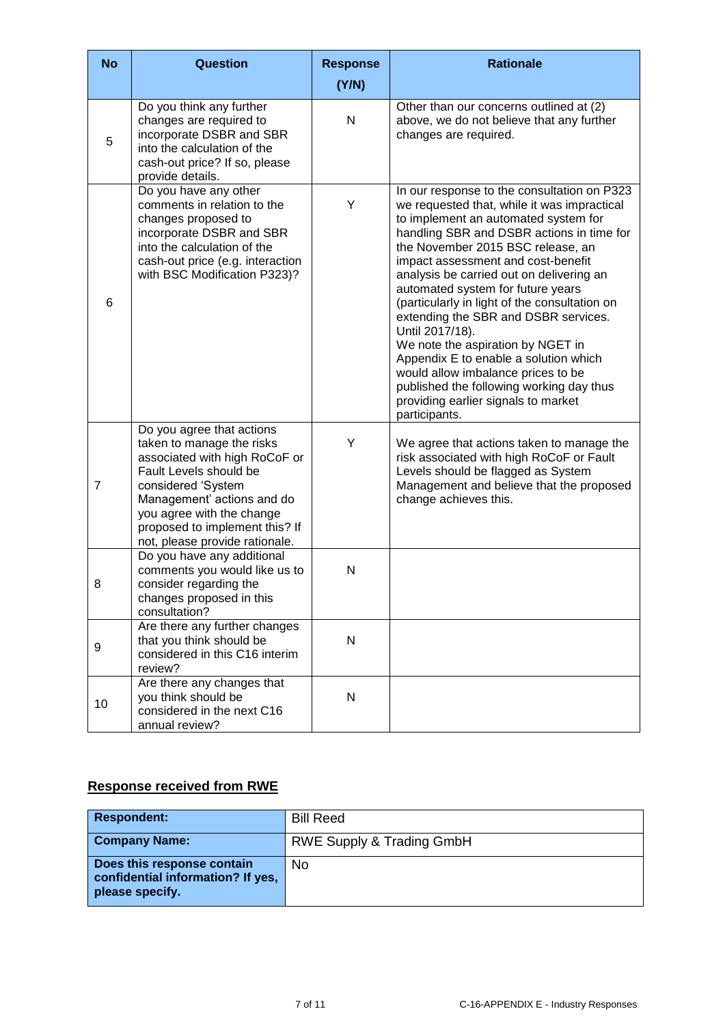| <b>No</b>      | <b>Question</b>                                                                                                                                                                                                                                                        | <b>Response</b><br>(Y/N) | <b>Rationale</b>                                                                                                                                                                                                                                                                                                                                                                                                                                                                                                                                                                                                                                                                |
|----------------|------------------------------------------------------------------------------------------------------------------------------------------------------------------------------------------------------------------------------------------------------------------------|--------------------------|---------------------------------------------------------------------------------------------------------------------------------------------------------------------------------------------------------------------------------------------------------------------------------------------------------------------------------------------------------------------------------------------------------------------------------------------------------------------------------------------------------------------------------------------------------------------------------------------------------------------------------------------------------------------------------|
| 5              | Do you think any further<br>changes are required to<br>incorporate DSBR and SBR<br>into the calculation of the<br>cash-out price? If so, please<br>provide details.                                                                                                    | N                        | Other than our concerns outlined at (2)<br>above, we do not believe that any further<br>changes are required.                                                                                                                                                                                                                                                                                                                                                                                                                                                                                                                                                                   |
| 6              | Do you have any other<br>comments in relation to the<br>changes proposed to<br>incorporate DSBR and SBR<br>into the calculation of the<br>cash-out price (e.g. interaction<br>with BSC Modification P323)?                                                             | Y                        | In our response to the consultation on P323<br>we requested that, while it was impractical<br>to implement an automated system for<br>handling SBR and DSBR actions in time for<br>the November 2015 BSC release, an<br>impact assessment and cost-benefit<br>analysis be carried out on delivering an<br>automated system for future years<br>(particularly in light of the consultation on<br>extending the SBR and DSBR services.<br>Until 2017/18).<br>We note the aspiration by NGET in<br>Appendix E to enable a solution which<br>would allow imbalance prices to be<br>published the following working day thus<br>providing earlier signals to market<br>participants. |
| $\overline{7}$ | Do you agree that actions<br>taken to manage the risks<br>associated with high RoCoF or<br>Fault Levels should be<br>considered 'System<br>Management' actions and do<br>you agree with the change<br>proposed to implement this? If<br>not, please provide rationale. | Y                        | We agree that actions taken to manage the<br>risk associated with high RoCoF or Fault<br>Levels should be flagged as System<br>Management and believe that the proposed<br>change achieves this.                                                                                                                                                                                                                                                                                                                                                                                                                                                                                |
| 8              | Do you have any additional<br>comments you would like us to<br>consider regarding the<br>changes proposed in this<br>consultation?                                                                                                                                     | Ν                        |                                                                                                                                                                                                                                                                                                                                                                                                                                                                                                                                                                                                                                                                                 |
| 9              | Are there any further changes<br>that you think should be<br>considered in this C16 interim<br>review?                                                                                                                                                                 | N                        |                                                                                                                                                                                                                                                                                                                                                                                                                                                                                                                                                                                                                                                                                 |
| 10             | Are there any changes that<br>you think should be<br>considered in the next C16<br>annual review?                                                                                                                                                                      | N                        |                                                                                                                                                                                                                                                                                                                                                                                                                                                                                                                                                                                                                                                                                 |

### **Response received from RWE**

| <b>Respondent:</b>                                                                 | <b>Bill Reed</b>                     |
|------------------------------------------------------------------------------------|--------------------------------------|
| <b>Company Name:</b>                                                               | <b>RWE Supply &amp; Trading GmbH</b> |
| Does this response contain<br>confidential information? If yes,<br>please specify. | No                                   |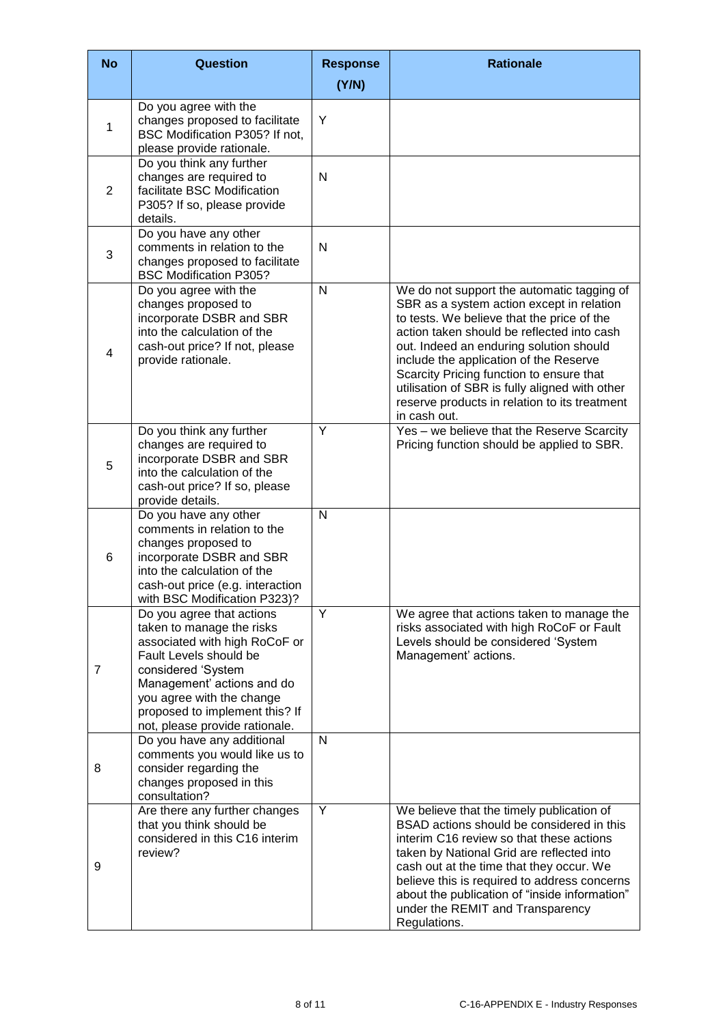| <b>No</b>      | <b>Question</b>                                                                                                                                                                                                                                                        | <b>Response</b><br>(Y/N) | <b>Rationale</b>                                                                                                                                                                                                                                                                                                                                                                                                                        |
|----------------|------------------------------------------------------------------------------------------------------------------------------------------------------------------------------------------------------------------------------------------------------------------------|--------------------------|-----------------------------------------------------------------------------------------------------------------------------------------------------------------------------------------------------------------------------------------------------------------------------------------------------------------------------------------------------------------------------------------------------------------------------------------|
|                | Do you agree with the                                                                                                                                                                                                                                                  |                          |                                                                                                                                                                                                                                                                                                                                                                                                                                         |
| $\mathbf{1}$   | changes proposed to facilitate<br>BSC Modification P305? If not,<br>please provide rationale.                                                                                                                                                                          | Y                        |                                                                                                                                                                                                                                                                                                                                                                                                                                         |
| 2              | Do you think any further<br>changes are required to<br>facilitate BSC Modification<br>P305? If so, please provide<br>details.                                                                                                                                          | N                        |                                                                                                                                                                                                                                                                                                                                                                                                                                         |
| 3              | Do you have any other<br>comments in relation to the<br>changes proposed to facilitate<br><b>BSC Modification P305?</b>                                                                                                                                                | N                        |                                                                                                                                                                                                                                                                                                                                                                                                                                         |
| $\overline{4}$ | Do you agree with the<br>changes proposed to<br>incorporate DSBR and SBR<br>into the calculation of the<br>cash-out price? If not, please<br>provide rationale.                                                                                                        | $\mathsf{N}$             | We do not support the automatic tagging of<br>SBR as a system action except in relation<br>to tests. We believe that the price of the<br>action taken should be reflected into cash<br>out. Indeed an enduring solution should<br>include the application of the Reserve<br>Scarcity Pricing function to ensure that<br>utilisation of SBR is fully aligned with other<br>reserve products in relation to its treatment<br>in cash out. |
| 5              | Do you think any further<br>changes are required to<br>incorporate DSBR and SBR<br>into the calculation of the<br>cash-out price? If so, please<br>provide details.                                                                                                    | Y                        | Yes - we believe that the Reserve Scarcity<br>Pricing function should be applied to SBR.                                                                                                                                                                                                                                                                                                                                                |
| 6              | Do you have any other<br>comments in relation to the<br>changes proposed to<br>incorporate DSBR and SBR<br>into the calculation of the<br>cash-out price (e.g. interaction<br>with BSC Modification P323)?                                                             | N                        |                                                                                                                                                                                                                                                                                                                                                                                                                                         |
| $\overline{7}$ | Do you agree that actions<br>taken to manage the risks<br>associated with high RoCoF or<br>Fault Levels should be<br>considered 'System<br>Management' actions and do<br>you agree with the change<br>proposed to implement this? If<br>not, please provide rationale. | Y                        | We agree that actions taken to manage the<br>risks associated with high RoCoF or Fault<br>Levels should be considered 'System<br>Management' actions.                                                                                                                                                                                                                                                                                   |
| 8              | Do you have any additional<br>comments you would like us to<br>consider regarding the<br>changes proposed in this<br>consultation?                                                                                                                                     | N                        |                                                                                                                                                                                                                                                                                                                                                                                                                                         |
| 9              | Are there any further changes<br>that you think should be<br>considered in this C16 interim<br>review?                                                                                                                                                                 | Y                        | We believe that the timely publication of<br>BSAD actions should be considered in this<br>interim C16 review so that these actions<br>taken by National Grid are reflected into<br>cash out at the time that they occur. We<br>believe this is required to address concerns<br>about the publication of "inside information"<br>under the REMIT and Transparency<br>Regulations.                                                        |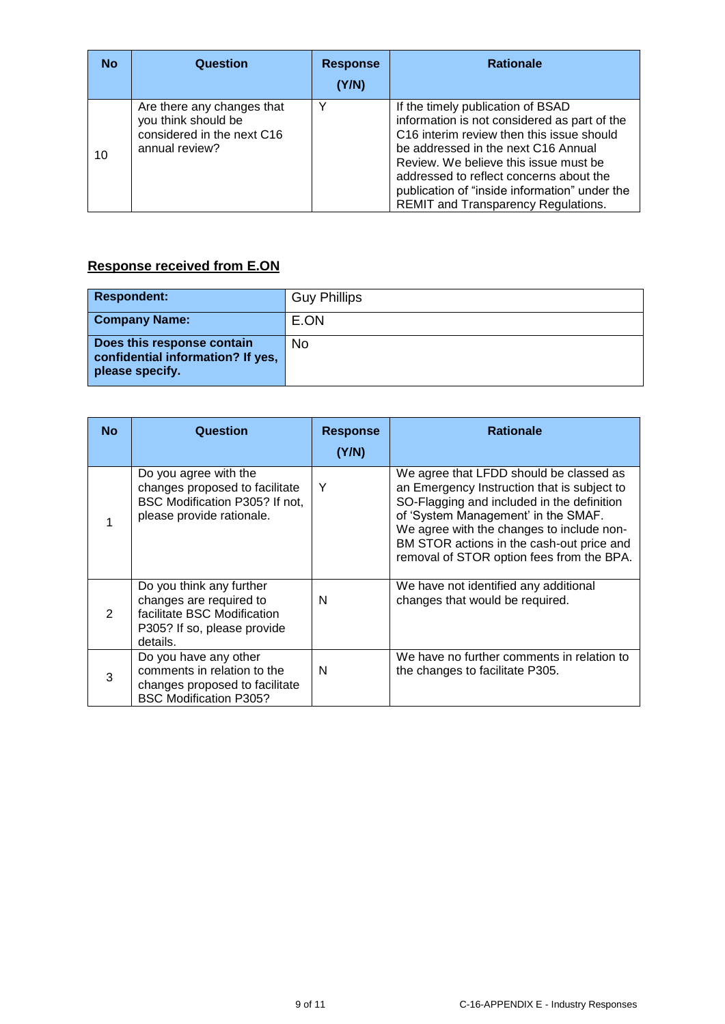| <b>No</b> | Question                                                                                          | <b>Response</b><br>(Y/N) | <b>Rationale</b>                                                                                                                                                                                                                                                                                                                                              |
|-----------|---------------------------------------------------------------------------------------------------|--------------------------|---------------------------------------------------------------------------------------------------------------------------------------------------------------------------------------------------------------------------------------------------------------------------------------------------------------------------------------------------------------|
| 10        | Are there any changes that<br>you think should be<br>considered in the next C16<br>annual review? | $\checkmark$             | If the timely publication of BSAD<br>information is not considered as part of the<br>C <sub>16</sub> interim review then this issue should<br>be addressed in the next C16 Annual<br>Review. We believe this issue must be<br>addressed to reflect concerns about the<br>publication of "inside information" under the<br>REMIT and Transparency Regulations. |

# **Response received from E.ON**

| <b>Respondent:</b>                                                                 | <b>Guy Phillips</b> |
|------------------------------------------------------------------------------------|---------------------|
| <b>Company Name:</b>                                                               | E.ON                |
| Does this response contain<br>confidential information? If yes,<br>please specify. | No                  |

| <b>No</b>     | Question                                                                                                                      | <b>Response</b><br>(Y/N) | <b>Rationale</b>                                                                                                                                                                                                                                                                                                   |
|---------------|-------------------------------------------------------------------------------------------------------------------------------|--------------------------|--------------------------------------------------------------------------------------------------------------------------------------------------------------------------------------------------------------------------------------------------------------------------------------------------------------------|
|               | Do you agree with the<br>changes proposed to facilitate<br>BSC Modification P305? If not,<br>please provide rationale.        | Y                        | We agree that LFDD should be classed as<br>an Emergency Instruction that is subject to<br>SO-Flagging and included in the definition<br>of 'System Management' in the SMAF.<br>We agree with the changes to include non-<br>BM STOR actions in the cash-out price and<br>removal of STOR option fees from the BPA. |
| $\mathcal{P}$ | Do you think any further<br>changes are required to<br>facilitate BSC Modification<br>P305? If so, please provide<br>details. | N                        | We have not identified any additional<br>changes that would be required.                                                                                                                                                                                                                                           |
| 3             | Do you have any other<br>comments in relation to the<br>changes proposed to facilitate<br><b>BSC Modification P305?</b>       | N                        | We have no further comments in relation to<br>the changes to facilitate P305.                                                                                                                                                                                                                                      |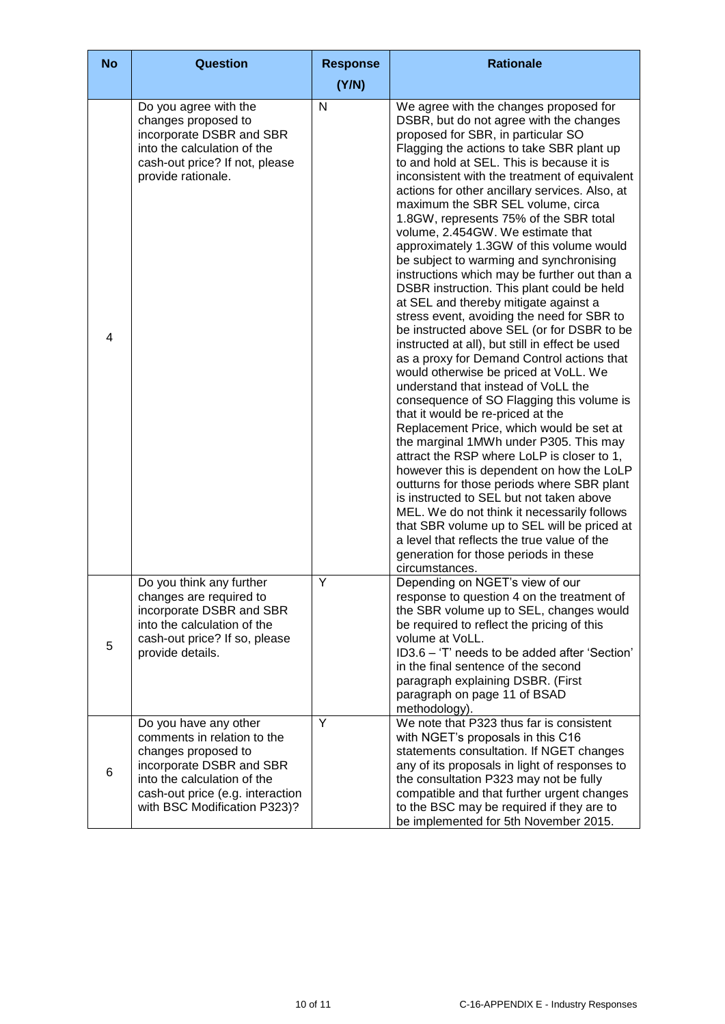| <b>No</b>      | <b>Question</b>                                                                                                                                                                                            | <b>Response</b> | <b>Rationale</b>                                                                                                                                                                                                                                                                                                                                                                                                                                                                                                                                                                                                                                                                                                                                                                                                                                                                                                                                                                                                                                                                                                                                                                                                                                                                                                                                                                                                                                                                                                         |
|----------------|------------------------------------------------------------------------------------------------------------------------------------------------------------------------------------------------------------|-----------------|--------------------------------------------------------------------------------------------------------------------------------------------------------------------------------------------------------------------------------------------------------------------------------------------------------------------------------------------------------------------------------------------------------------------------------------------------------------------------------------------------------------------------------------------------------------------------------------------------------------------------------------------------------------------------------------------------------------------------------------------------------------------------------------------------------------------------------------------------------------------------------------------------------------------------------------------------------------------------------------------------------------------------------------------------------------------------------------------------------------------------------------------------------------------------------------------------------------------------------------------------------------------------------------------------------------------------------------------------------------------------------------------------------------------------------------------------------------------------------------------------------------------------|
|                |                                                                                                                                                                                                            | (Y/N)           |                                                                                                                                                                                                                                                                                                                                                                                                                                                                                                                                                                                                                                                                                                                                                                                                                                                                                                                                                                                                                                                                                                                                                                                                                                                                                                                                                                                                                                                                                                                          |
| $\overline{4}$ | Do you agree with the<br>changes proposed to<br>incorporate DSBR and SBR<br>into the calculation of the<br>cash-out price? If not, please<br>provide rationale.                                            | N               | We agree with the changes proposed for<br>DSBR, but do not agree with the changes<br>proposed for SBR, in particular SO<br>Flagging the actions to take SBR plant up<br>to and hold at SEL. This is because it is<br>inconsistent with the treatment of equivalent<br>actions for other ancillary services. Also, at<br>maximum the SBR SEL volume, circa<br>1.8GW, represents 75% of the SBR total<br>volume, 2.454GW. We estimate that<br>approximately 1.3GW of this volume would<br>be subject to warming and synchronising<br>instructions which may be further out than a<br>DSBR instruction. This plant could be held<br>at SEL and thereby mitigate against a<br>stress event, avoiding the need for SBR to<br>be instructed above SEL (or for DSBR to be<br>instructed at all), but still in effect be used<br>as a proxy for Demand Control actions that<br>would otherwise be priced at VoLL. We<br>understand that instead of VoLL the<br>consequence of SO Flagging this volume is<br>that it would be re-priced at the<br>Replacement Price, which would be set at<br>the marginal 1MWh under P305. This may<br>attract the RSP where LoLP is closer to 1,<br>however this is dependent on how the LoLP<br>outturns for those periods where SBR plant<br>is instructed to SEL but not taken above<br>MEL. We do not think it necessarily follows<br>that SBR volume up to SEL will be priced at<br>a level that reflects the true value of the<br>generation for those periods in these<br>circumstances. |
| 5              | Do you think any further<br>changes are required to<br>incorporate DSBR and SBR<br>into the calculation of the<br>cash-out price? If so, please<br>provide details.                                        | Υ               | Depending on NGET's view of our<br>response to question 4 on the treatment of<br>the SBR volume up to SEL, changes would<br>be required to reflect the pricing of this<br>volume at VoLL.<br>ID3.6 - 'T' needs to be added after 'Section'<br>in the final sentence of the second<br>paragraph explaining DSBR. (First<br>paragraph on page 11 of BSAD<br>methodology).                                                                                                                                                                                                                                                                                                                                                                                                                                                                                                                                                                                                                                                                                                                                                                                                                                                                                                                                                                                                                                                                                                                                                  |
| 6              | Do you have any other<br>comments in relation to the<br>changes proposed to<br>incorporate DSBR and SBR<br>into the calculation of the<br>cash-out price (e.g. interaction<br>with BSC Modification P323)? | Y               | We note that P323 thus far is consistent<br>with NGET's proposals in this C16<br>statements consultation. If NGET changes<br>any of its proposals in light of responses to<br>the consultation P323 may not be fully<br>compatible and that further urgent changes<br>to the BSC may be required if they are to<br>be implemented for 5th November 2015.                                                                                                                                                                                                                                                                                                                                                                                                                                                                                                                                                                                                                                                                                                                                                                                                                                                                                                                                                                                                                                                                                                                                                                 |